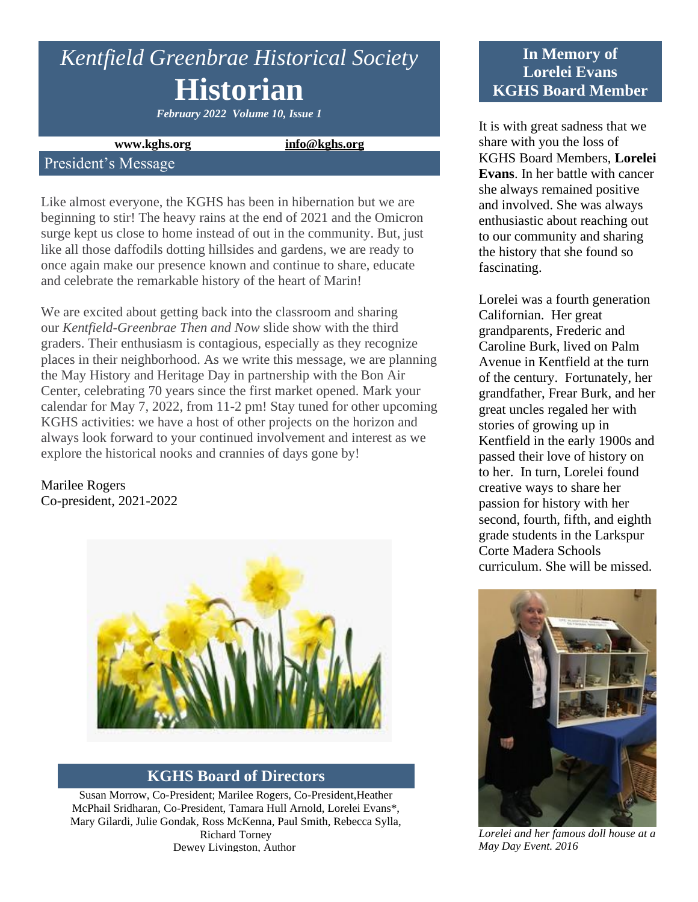# *Kentfield Greenbrae Historical Society* **Historian**

*February 2022 Volume 10, Issue 1*

#### **www.kghs.org [info@kghs.org](mailto:info@kghs.org)**

### President's Message

Like almost everyone, the KGHS has been in hibernation but we are beginning to stir! The heavy rains at the end of 2021 and the Omicron surge kept us close to home instead of out in the community. But, just like all those daffodils dotting hillsides and gardens, we are ready to once again make our presence known and continue to share, educate and celebrate the remarkable history of the heart of Marin!

We are excited about getting back into the classroom and sharing our *Kentfield-Greenbrae Then and Now* slide show with the third graders. Their enthusiasm is contagious, especially as they recognize places in their neighborhood. As we write this message, we are planning the May History and Heritage Day in partnership with the Bon Air Center, celebrating 70 years since the first market opened. Mark your calendar for May 7, 2022, from 11-2 pm! Stay tuned for other upcoming KGHS activities: we have a host of other projects on the horizon and always look forward to your continued involvement and interest as we explore the historical nooks and crannies of days gone by!

Marilee Rogers Co-president, 2021-2022



#### **KGHS Board of Directors**

Susan Morrow, Co-President; Marilee Rogers, Co-President,Heather McPhail Sridharan, Co-President, Tamara Hull Arnold, Lorelei Evans\*, Mary Gilardi, Julie Gondak, Ross McKenna, Paul Smith, Rebecca Sylla, Richard Torney Dewey Livingston, Author

# **In Memory of Lorelei Evans KGHS Board Member**

It is with great sadness that we share with you the loss of KGHS Board Members, **Lorelei Evans**. In her battle with cancer she always remained positive and involved. She was always enthusiastic about reaching out to our community and sharing the history that she found so fascinating.

Lorelei was a fourth generation Californian. Her great grandparents, Frederic and Caroline Burk, lived on Palm Avenue in Kentfield at the turn of the century. Fortunately, her grandfather, Frear Burk, and her great uncles regaled her with stories of growing up in Kentfield in the early 1900s and passed their love of history on to her. In turn, Lorelei found creative ways to share her passion for history with her second, fourth, fifth, and eighth grade students in the Larkspur Corte Madera Schools curriculum. She will be missed.



*Lorelei and her famous doll house at a May Day Event. 2016*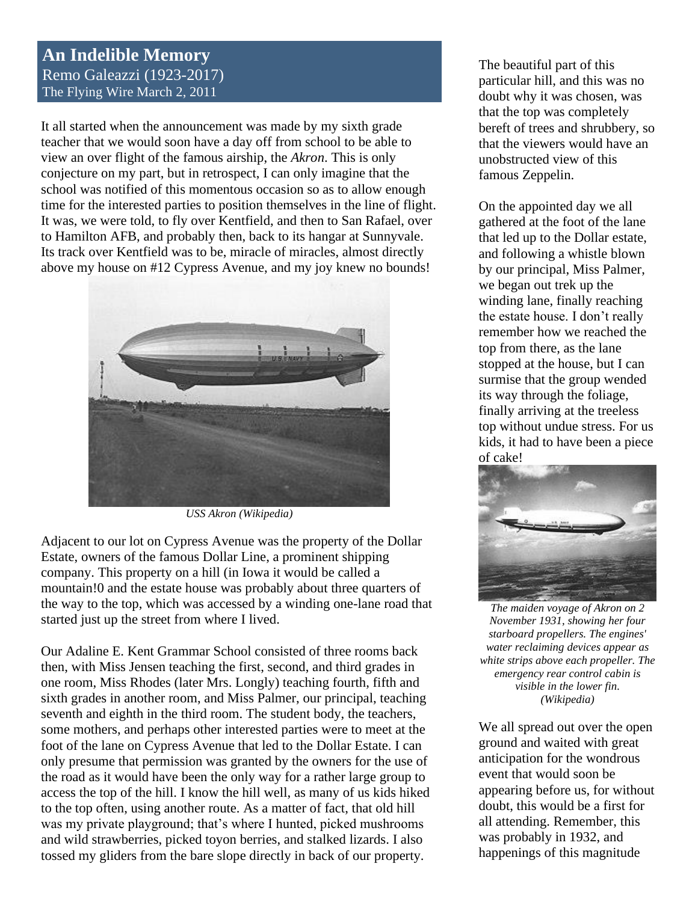## **An Indelible Memory** Remo Galeazzi (1923-2017) The Flying Wire March 2, 2011

It all started when the announcement was made by my sixth grade teacher that we would soon have a day off from school to be able to view an over flight of the famous airship, the *Akron*. This is only conjecture on my part, but in retrospect, I can only imagine that the school was notified of this momentous occasion so as to allow enough time for the interested parties to position themselves in the line of flight. It was, we were told, to fly over Kentfield, and then to San Rafael, over to Hamilton AFB, and probably then, back to its hangar at Sunnyvale. Its track over Kentfield was to be, miracle of miracles, almost directly above my house on #12 Cypress Avenue, and my joy knew no bounds!



*USS Akron (Wikipedia)*

Adjacent to our lot on Cypress Avenue was the property of the Dollar Estate, owners of the famous Dollar Line, a prominent shipping company. This property on a hill (in Iowa it would be called a mountain!0 and the estate house was probably about three quarters of the way to the top, which was accessed by a winding one-lane road that started just up the street from where I lived.

Our Adaline E. Kent Grammar School consisted of three rooms back then, with Miss Jensen teaching the first, second, and third grades in one room, Miss Rhodes (later Mrs. Longly) teaching fourth, fifth and sixth grades in another room, and Miss Palmer, our principal, teaching seventh and eighth in the third room. The student body, the teachers, some mothers, and perhaps other interested parties were to meet at the foot of the lane on Cypress Avenue that led to the Dollar Estate. I can only presume that permission was granted by the owners for the use of the road as it would have been the only way for a rather large group to access the top of the hill. I know the hill well, as many of us kids hiked to the top often, using another route. As a matter of fact, that old hill was my private playground; that's where I hunted, picked mushrooms and wild strawberries, picked toyon berries, and stalked lizards. I also tossed my gliders from the bare slope directly in back of our property.

The beautiful part of this particular hill, and this was no doubt why it was chosen, was that the top was completely bereft of trees and shrubbery, so that the viewers would have an unobstructed view of this famous Zeppelin.

On the appointed day we all gathered at the foot of the lane that led up to the Dollar estate, and following a whistle blown by our principal, Miss Palmer, we began out trek up the winding lane, finally reaching the estate house. I don't really remember how we reached the top from there, as the lane stopped at the house, but I can surmise that the group wended its way through the foliage, finally arriving at the treeless top without undue stress. For us kids, it had to have been a piece of cake!



*The maiden voyage of Akron on 2 November 1931, showing her four starboard propellers. The engines' water reclaiming devices appear as white strips above each propeller. The emergency rear control cabin is visible in the lower fin. (Wikipedia)*

We all spread out over the open ground and waited with great anticipation for the wondrous event that would soon be appearing before us, for without doubt, this would be a first for all attending. Remember, this was probably in 1932, and happenings of this magnitude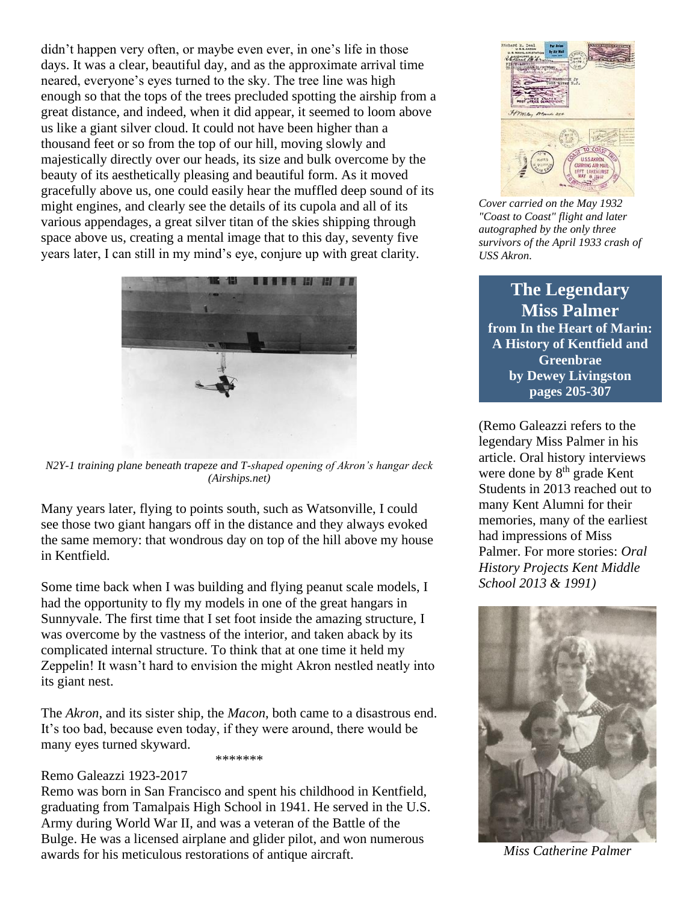didn't happen very often, or maybe even ever, in one's life in those days. It was a clear, beautiful day, and as the approximate arrival time neared, everyone's eyes turned to the sky. The tree line was high enough so that the tops of the trees precluded spotting the airship from a great distance, and indeed, when it did appear, it seemed to loom above us like a giant silver cloud. It could not have been higher than a thousand feet or so from the top of our hill, moving slowly and majestically directly over our heads, its size and bulk overcome by the beauty of its aesthetically pleasing and beautiful form. As it moved gracefully above us, one could easily hear the muffled deep sound of its might engines, and clearly see the details of its cupola and all of its various appendages, a great silver titan of the skies shipping through space above us, creating a mental image that to this day, seventy five years later, I can still in my mind's eye, conjure up with great clarity.



*N2Y-1 training plane beneath trapeze and T-shaped opening of Akron's hangar deck (Airships.net)*

Many years later, flying to points south, such as Watsonville, I could see those two giant hangars off in the distance and they always evoked the same memory: that wondrous day on top of the hill above my house in Kentfield.

Some time back when I was building and flying peanut scale models, I had the opportunity to fly my models in one of the great hangars in Sunnyvale. The first time that I set foot inside the amazing structure, I was overcome by the vastness of the interior, and taken aback by its complicated internal structure. To think that at one time it held my Zeppelin! It wasn't hard to envision the might Akron nestled neatly into its giant nest.

The *Akron*, and its sister ship, the *Macon*, both came to a disastrous end. It's too bad, because even today, if they were around, there would be many eyes turned skyward.

#### \*\*\*\*\*\*\*

#### Remo Galeazzi 1923-2017

Remo was born in San Francisco and spent his childhood in Kentfield, graduating from Tamalpais High School in 1941. He served in the U.S. Army during World War II, and was a veteran of the Battle of the Bulge. He was a licensed airplane and glider pilot, and won numerous awards for his meticulous restorations of antique aircraft.



*Cover carried on the May 1932 "Coast to Coast" flight and later autographed by the only three survivors of the April 1933 crash of USS Akron.*

**The Legendary Miss Palmer from In the Heart of Marin: A History of Kentfield and Greenbrae by Dewey Livingston pages 205-307**

(Remo Galeazzi refers to the legendary Miss Palmer in his article. Oral history interviews were done by  $8<sup>th</sup>$  grade Kent Students in 2013 reached out to many Kent Alumni for their memories, many of the earliest had impressions of Miss Palmer. For more stories: *Oral History Projects Kent Middle School 2013 & 1991)*



*Miss Catherine Palmer*